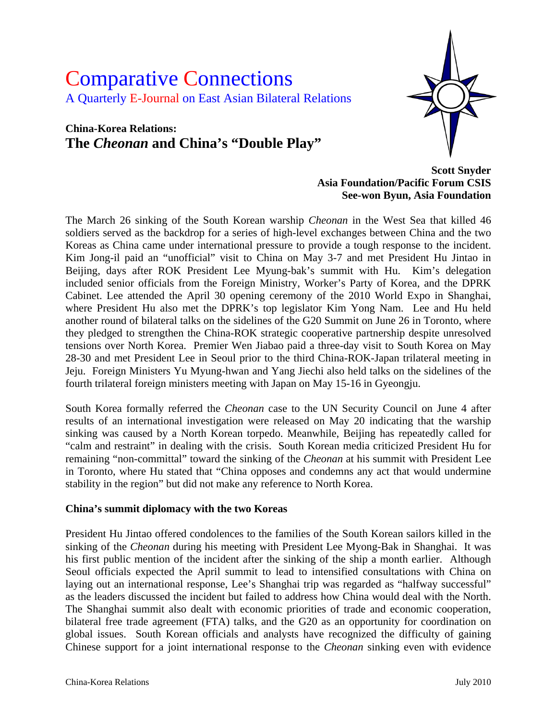# Comparative Connections A Quarterly E-Journal on East Asian Bilateral Relations

## **China-Korea Relations: The** *Cheonan* **and China's "Double Play"**



**Scott Snyder Asia Foundation/Pacific Forum CSIS See-won Byun, Asia Foundation** 

The March 26 sinking of the South Korean warship *Cheonan* in the West Sea that killed 46 soldiers served as the backdrop for a series of high-level exchanges between China and the two Koreas as China came under international pressure to provide a tough response to the incident. Kim Jong-il paid an "unofficial" visit to China on May 3-7 and met President Hu Jintao in Beijing, days after ROK President Lee Myung-bak's summit with Hu. Kim's delegation included senior officials from the Foreign Ministry, Worker's Party of Korea, and the DPRK Cabinet. Lee attended the April 30 opening ceremony of the 2010 World Expo in Shanghai, where President Hu also met the DPRK's top legislator Kim Yong Nam. Lee and Hu held another round of bilateral talks on the sidelines of the G20 Summit on June 26 in Toronto, where they pledged to strengthen the China-ROK strategic cooperative partnership despite unresolved tensions over North Korea. Premier Wen Jiabao paid a three-day visit to South Korea on May 28-30 and met President Lee in Seoul prior to the third China-ROK-Japan trilateral meeting in Jeju. Foreign Ministers Yu Myung-hwan and Yang Jiechi also held talks on the sidelines of the fourth trilateral foreign ministers meeting with Japan on May 15-16 in Gyeongju.

South Korea formally referred the *Cheonan* case to the UN Security Council on June 4 after results of an international investigation were released on May 20 indicating that the warship sinking was caused by a North Korean torpedo. Meanwhile, Beijing has repeatedly called for "calm and restraint" in dealing with the crisis. South Korean media criticized President Hu for remaining "non-committal" toward the sinking of the *Cheonan* at his summit with President Lee in Toronto, where Hu stated that "China opposes and condemns any act that would undermine stability in the region" but did not make any reference to North Korea.

#### **China's summit diplomacy with the two Koreas**

President Hu Jintao offered condolences to the families of the South Korean sailors killed in the sinking of the *Cheonan* during his meeting with President Lee Myong-Bak in Shanghai. It was his first public mention of the incident after the sinking of the ship a month earlier. Although Seoul officials expected the April summit to lead to intensified consultations with China on laying out an international response, Lee's Shanghai trip was regarded as "halfway successful" as the leaders discussed the incident but failed to address how China would deal with the North. The Shanghai summit also dealt with economic priorities of trade and economic cooperation, bilateral free trade agreement (FTA) talks, and the G20 as an opportunity for coordination on global issues. South Korean officials and analysts have recognized the difficulty of gaining Chinese support for a joint international response to the *Cheonan* sinking even with evidence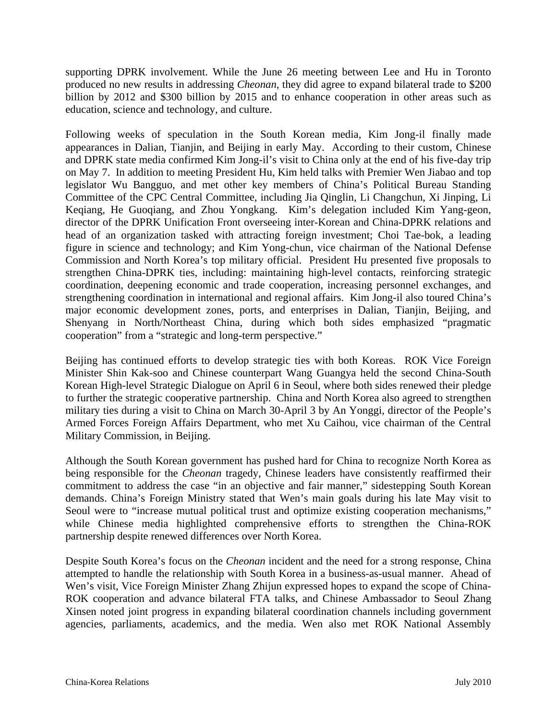supporting DPRK involvement. While the June 26 meeting between Lee and Hu in Toronto produced no new results in addressing *Cheonan*, they did agree to expand bilateral trade to \$200 billion by 2012 and \$300 billion by 2015 and to enhance cooperation in other areas such as education, science and technology, and culture.

Following weeks of speculation in the South Korean media, Kim Jong-il finally made appearances in Dalian, Tianjin, and Beijing in early May. According to their custom, Chinese and DPRK state media confirmed Kim Jong-il's visit to China only at the end of his five-day trip on May 7. In addition to meeting President Hu, Kim held talks with Premier Wen Jiabao and top legislator Wu Bangguo, and met other key members of China's Political Bureau Standing Committee of the CPC Central Committee, including Jia Qinglin, Li Changchun, Xi Jinping, Li Keqiang, He Guoqiang, and Zhou Yongkang. Kim's delegation included Kim Yang-geon, director of the DPRK Unification Front overseeing inter-Korean and China-DPRK relations and head of an organization tasked with attracting foreign investment; Choi Tae-bok, a leading figure in science and technology; and Kim Yong-chun, vice chairman of the National Defense Commission and North Korea's top military official. President Hu presented five proposals to strengthen China-DPRK ties, including: maintaining high-level contacts, reinforcing strategic coordination, deepening economic and trade cooperation, increasing personnel exchanges, and strengthening coordination in international and regional affairs. Kim Jong-il also toured China's major economic development zones, ports, and enterprises in Dalian, Tianjin, Beijing, and Shenyang in North/Northeast China, during which both sides emphasized "pragmatic cooperation" from a "strategic and long-term perspective."

Beijing has continued efforts to develop strategic ties with both Koreas. ROK Vice Foreign Minister Shin Kak-soo and Chinese counterpart Wang Guangya held the second China-South Korean High-level Strategic Dialogue on April 6 in Seoul, where both sides renewed their pledge to further the strategic cooperative partnership. China and North Korea also agreed to strengthen military ties during a visit to China on March 30-April 3 by An Yonggi, director of the People's Armed Forces Foreign Affairs Department, who met Xu Caihou, vice chairman of the Central Military Commission, in Beijing.

Although the South Korean government has pushed hard for China to recognize North Korea as being responsible for the *Cheonan* tragedy, Chinese leaders have consistently reaffirmed their commitment to address the case "in an objective and fair manner," sidestepping South Korean demands. China's Foreign Ministry stated that Wen's main goals during his late May visit to Seoul were to "increase mutual political trust and optimize existing cooperation mechanisms," while Chinese media highlighted comprehensive efforts to strengthen the China-ROK partnership despite renewed differences over North Korea.

Despite South Korea's focus on the *Cheonan* incident and the need for a strong response, China attempted to handle the relationship with South Korea in a business-as-usual manner. Ahead of Wen's visit, Vice Foreign Minister Zhang Zhijun expressed hopes to expand the scope of China-ROK cooperation and advance bilateral FTA talks, and Chinese Ambassador to Seoul Zhang Xinsen noted joint progress in expanding bilateral coordination channels including government agencies, parliaments, academics, and the media. Wen also met ROK National Assembly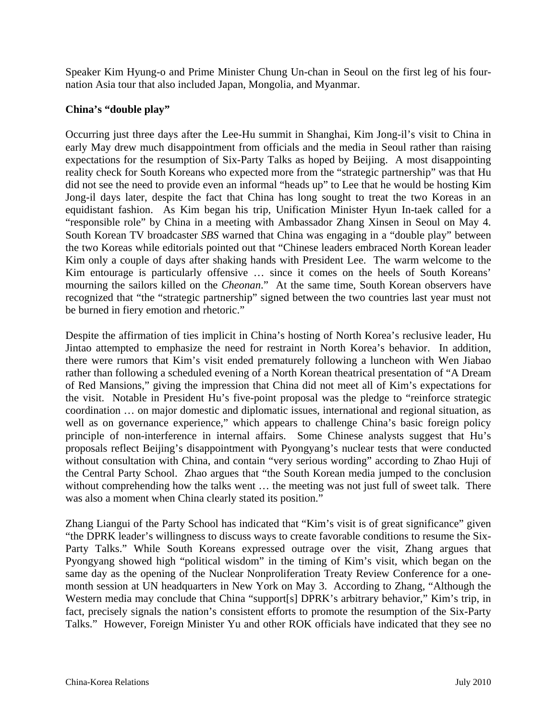Speaker Kim Hyung-o and Prime Minister Chung Un-chan in Seoul on the first leg of his fournation Asia tour that also included Japan, Mongolia, and Myanmar.

#### **China's "double play"**

Occurring just three days after the Lee-Hu summit in Shanghai, Kim Jong-il's visit to China in early May drew much disappointment from officials and the media in Seoul rather than raising expectations for the resumption of Six-Party Talks as hoped by Beijing. A most disappointing reality check for South Koreans who expected more from the "strategic partnership" was that Hu did not see the need to provide even an informal "heads up" to Lee that he would be hosting Kim Jong-il days later, despite the fact that China has long sought to treat the two Koreas in an equidistant fashion. As Kim began his trip, Unification Minister Hyun In-taek called for a "responsible role" by China in a meeting with Ambassador Zhang Xinsen in Seoul on May 4. South Korean TV broadcaster *SBS* warned that China was engaging in a "double play" between the two Koreas while editorials pointed out that "Chinese leaders embraced North Korean leader Kim only a couple of days after shaking hands with President Lee. The warm welcome to the Kim entourage is particularly offensive … since it comes on the heels of South Koreans' mourning the sailors killed on the *Cheonan*." At the same time, South Korean observers have recognized that "the "strategic partnership" signed between the two countries last year must not be burned in fiery emotion and rhetoric."

Despite the affirmation of ties implicit in China's hosting of North Korea's reclusive leader, Hu Jintao attempted to emphasize the need for restraint in North Korea's behavior. In addition, there were rumors that Kim's visit ended prematurely following a luncheon with Wen Jiabao rather than following a scheduled evening of a North Korean theatrical presentation of "A Dream of Red Mansions," giving the impression that China did not meet all of Kim's expectations for the visit. Notable in President Hu's five-point proposal was the pledge to "reinforce strategic coordination … on major domestic and diplomatic issues, international and regional situation, as well as on governance experience," which appears to challenge China's basic foreign policy principle of non-interference in internal affairs. Some Chinese analysts suggest that Hu's proposals reflect Beijing's disappointment with Pyongyang's nuclear tests that were conducted without consultation with China, and contain "very serious wording" according to Zhao Huji of the Central Party School. Zhao argues that "the South Korean media jumped to the conclusion without comprehending how the talks went ... the meeting was not just full of sweet talk. There was also a moment when China clearly stated its position."

Zhang Liangui of the Party School has indicated that "Kim's visit is of great significance" given "the DPRK leader's willingness to discuss ways to create favorable conditions to resume the Six-Party Talks." While South Koreans expressed outrage over the visit, Zhang argues that Pyongyang showed high "political wisdom" in the timing of Kim's visit, which began on the same day as the opening of the Nuclear Nonproliferation Treaty Review Conference for a onemonth session at UN headquarters in New York on May 3. According to Zhang, "Although the Western media may conclude that China "support[s] DPRK's arbitrary behavior," Kim's trip, in fact, precisely signals the nation's consistent efforts to promote the resumption of the Six-Party Talks." However, Foreign Minister Yu and other ROK officials have indicated that they see no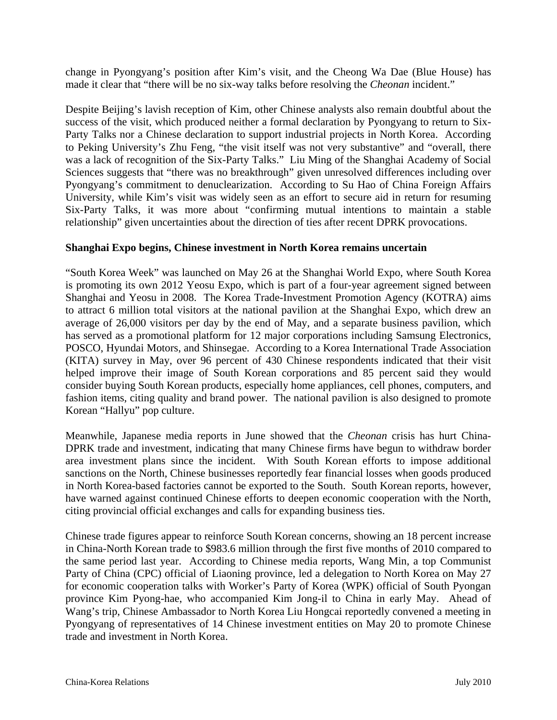change in Pyongyang's position after Kim's visit, and the Cheong Wa Dae (Blue House) has made it clear that "there will be no six-way talks before resolving the *Cheonan* incident."

Despite Beijing's lavish reception of Kim, other Chinese analysts also remain doubtful about the success of the visit, which produced neither a formal declaration by Pyongyang to return to Six-Party Talks nor a Chinese declaration to support industrial projects in North Korea. According to Peking University's Zhu Feng, "the visit itself was not very substantive" and "overall, there was a lack of recognition of the Six-Party Talks." Liu Ming of the Shanghai Academy of Social Sciences suggests that "there was no breakthrough" given unresolved differences including over Pyongyang's commitment to denuclearization. According to Su Hao of China Foreign Affairs University, while Kim's visit was widely seen as an effort to secure aid in return for resuming Six-Party Talks, it was more about "confirming mutual intentions to maintain a stable relationship" given uncertainties about the direction of ties after recent DPRK provocations.

#### **Shanghai Expo begins, Chinese investment in North Korea remains uncertain**

"South Korea Week" was launched on May 26 at the Shanghai World Expo, where South Korea is promoting its own 2012 Yeosu Expo, which is part of a four-year agreement signed between Shanghai and Yeosu in 2008. The Korea Trade-Investment Promotion Agency (KOTRA) aims to attract 6 million total visitors at the national pavilion at the Shanghai Expo, which drew an average of 26,000 visitors per day by the end of May, and a separate business pavilion, which has served as a promotional platform for 12 major corporations including Samsung Electronics, POSCO, Hyundai Motors, and Shinsegae. According to a Korea International Trade Association (KITA) survey in May, over 96 percent of 430 Chinese respondents indicated that their visit helped improve their image of South Korean corporations and 85 percent said they would consider buying South Korean products, especially home appliances, cell phones, computers, and fashion items, citing quality and brand power. The national pavilion is also designed to promote Korean "Hallyu" pop culture.

Meanwhile, Japanese media reports in June showed that the *Cheonan* crisis has hurt China-DPRK trade and investment, indicating that many Chinese firms have begun to withdraw border area investment plans since the incident. With South Korean efforts to impose additional sanctions on the North, Chinese businesses reportedly fear financial losses when goods produced in North Korea-based factories cannot be exported to the South. South Korean reports, however, have warned against continued Chinese efforts to deepen economic cooperation with the North, citing provincial official exchanges and calls for expanding business ties.

Chinese trade figures appear to reinforce South Korean concerns, showing an 18 percent increase in China-North Korean trade to \$983.6 million through the first five months of 2010 compared to the same period last year. According to Chinese media reports, Wang Min, a top Communist Party of China (CPC) official of Liaoning province, led a delegation to North Korea on May 27 for economic cooperation talks with Worker's Party of Korea (WPK) official of South Pyongan province Kim Pyong-hae, who accompanied Kim Jong-il to China in early May. Ahead of Wang's trip, Chinese Ambassador to North Korea Liu Hongcai reportedly convened a meeting in Pyongyang of representatives of 14 Chinese investment entities on May 20 to promote Chinese trade and investment in North Korea.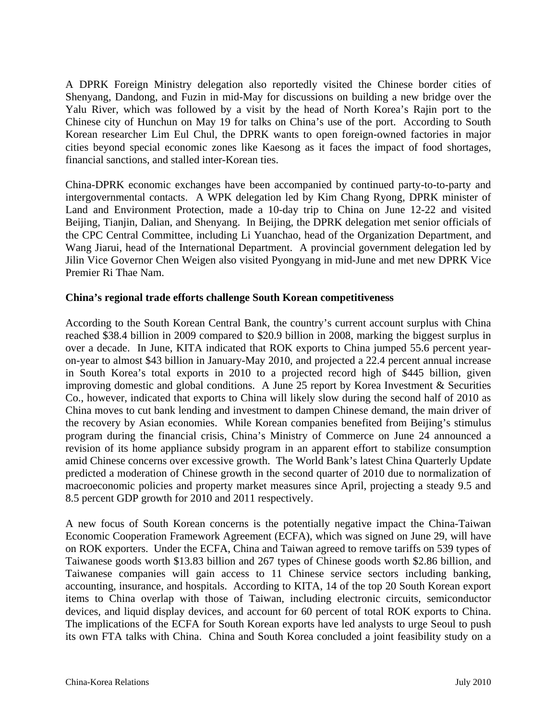A DPRK Foreign Ministry delegation also reportedly visited the Chinese border cities of Shenyang, Dandong, and Fuzin in mid-May for discussions on building a new bridge over the Yalu River, which was followed by a visit by the head of North Korea's Rajin port to the Chinese city of Hunchun on May 19 for talks on China's use of the port. According to South Korean researcher Lim Eul Chul, the DPRK wants to open foreign-owned factories in major cities beyond special economic zones like Kaesong as it faces the impact of food shortages, financial sanctions, and stalled inter-Korean ties.

China-DPRK economic exchanges have been accompanied by continued party-to-to-party and intergovernmental contacts. A WPK delegation led by Kim Chang Ryong, DPRK minister of Land and Environment Protection, made a 10-day trip to China on June 12-22 and visited Beijing, Tianjin, Dalian, and Shenyang. In Beijing, the DPRK delegation met senior officials of the CPC Central Committee, including Li Yuanchao, head of the Organization Department, and Wang Jiarui, head of the International Department. A provincial government delegation led by Jilin Vice Governor Chen Weigen also visited Pyongyang in mid-June and met new DPRK Vice Premier Ri Thae Nam.

#### **China's regional trade efforts challenge South Korean competitiveness**

According to the South Korean Central Bank, the country's current account surplus with China reached \$38.4 billion in 2009 compared to \$20.9 billion in 2008, marking the biggest surplus in over a decade. In June, KITA indicated that ROK exports to China jumped 55.6 percent yearon-year to almost \$43 billion in January-May 2010, and projected a 22.4 percent annual increase in South Korea's total exports in 2010 to a projected record high of \$445 billion, given improving domestic and global conditions. A June 25 report by Korea Investment & Securities Co., however, indicated that exports to China will likely slow during the second half of 2010 as China moves to cut bank lending and investment to dampen Chinese demand, the main driver of the recovery by Asian economies. While Korean companies benefited from Beijing's stimulus program during the financial crisis, China's Ministry of Commerce on June 24 announced a revision of its home appliance subsidy program in an apparent effort to stabilize consumption amid Chinese concerns over excessive growth. The World Bank's latest China Quarterly Update predicted a moderation of Chinese growth in the second quarter of 2010 due to normalization of macroeconomic policies and property market measures since April, projecting a steady 9.5 and 8.5 percent GDP growth for 2010 and 2011 respectively.

A new focus of South Korean concerns is the potentially negative impact the China-Taiwan Economic Cooperation Framework Agreement (ECFA), which was signed on June 29, will have on ROK exporters. Under the ECFA, China and Taiwan agreed to remove tariffs on 539 types of Taiwanese goods worth \$13.83 billion and 267 types of Chinese goods worth \$2.86 billion, and Taiwanese companies will gain access to 11 Chinese service sectors including banking, accounting, insurance, and hospitals. According to KITA, 14 of the top 20 South Korean export items to China overlap with those of Taiwan, including electronic circuits, semiconductor devices, and liquid display devices, and account for 60 percent of total ROK exports to China. The implications of the ECFA for South Korean exports have led analysts to urge Seoul to push its own FTA talks with China. China and South Korea concluded a joint feasibility study on a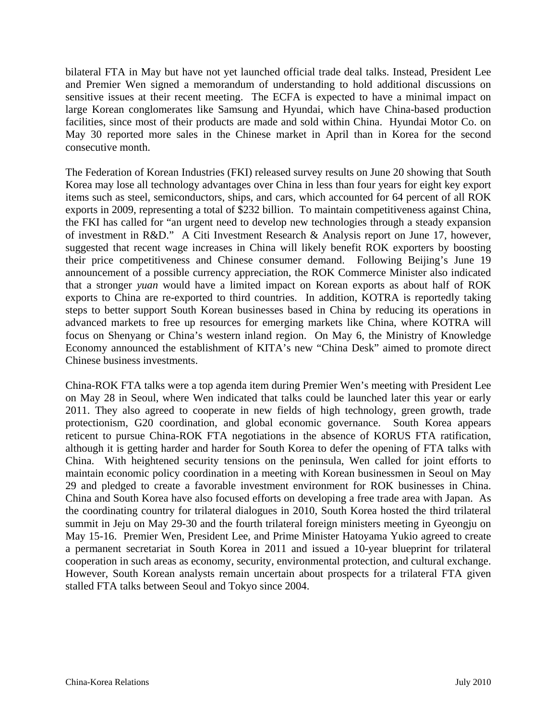bilateral FTA in May but have not yet launched official trade deal talks. Instead, President Lee and Premier Wen signed a memorandum of understanding to hold additional discussions on sensitive issues at their recent meeting. The ECFA is expected to have a minimal impact on large Korean conglomerates like Samsung and Hyundai, which have China-based production facilities, since most of their products are made and sold within China. Hyundai Motor Co. on May 30 reported more sales in the Chinese market in April than in Korea for the second consecutive month.

The Federation of Korean Industries (FKI) released survey results on June 20 showing that South Korea may lose all technology advantages over China in less than four years for eight key export items such as steel, semiconductors, ships, and cars, which accounted for 64 percent of all ROK exports in 2009, representing a total of \$232 billion. To maintain competitiveness against China, the FKI has called for "an urgent need to develop new technologies through a steady expansion of investment in R&D." A Citi Investment Research & Analysis report on June 17, however, suggested that recent wage increases in China will likely benefit ROK exporters by boosting their price competitiveness and Chinese consumer demand. Following Beijing's June 19 announcement of a possible currency appreciation, the ROK Commerce Minister also indicated that a stronger *yuan* would have a limited impact on Korean exports as about half of ROK exports to China are re-exported to third countries. In addition, KOTRA is reportedly taking steps to better support South Korean businesses based in China by reducing its operations in advanced markets to free up resources for emerging markets like China, where KOTRA will focus on Shenyang or China's western inland region. On May 6, the Ministry of Knowledge Economy announced the establishment of KITA's new "China Desk" aimed to promote direct Chinese business investments.

China-ROK FTA talks were a top agenda item during Premier Wen's meeting with President Lee on May 28 in Seoul, where Wen indicated that talks could be launched later this year or early 2011. They also agreed to cooperate in new fields of high technology, green growth, trade protectionism, G20 coordination, and global economic governance. South Korea appears reticent to pursue China-ROK FTA negotiations in the absence of KORUS FTA ratification, although it is getting harder and harder for South Korea to defer the opening of FTA talks with China. With heightened security tensions on the peninsula, Wen called for joint efforts to maintain economic policy coordination in a meeting with Korean businessmen in Seoul on May 29 and pledged to create a favorable investment environment for ROK businesses in China. China and South Korea have also focused efforts on developing a free trade area with Japan. As the coordinating country for trilateral dialogues in 2010, South Korea hosted the third trilateral summit in Jeju on May 29-30 and the fourth trilateral foreign ministers meeting in Gyeongju on May 15-16. Premier Wen, President Lee, and Prime Minister Hatoyama Yukio agreed to create a permanent secretariat in South Korea in 2011 and issued a 10-year blueprint for trilateral cooperation in such areas as economy, security, environmental protection, and cultural exchange. However, South Korean analysts remain uncertain about prospects for a trilateral FTA given stalled FTA talks between Seoul and Tokyo since 2004.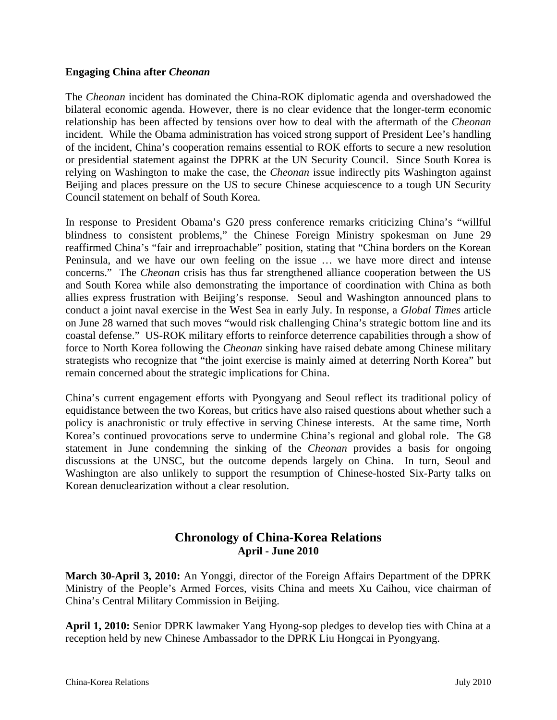#### **Engaging China after** *Cheonan*

The *Cheonan* incident has dominated the China-ROK diplomatic agenda and overshadowed the bilateral economic agenda. However, there is no clear evidence that the longer-term economic relationship has been affected by tensions over how to deal with the aftermath of the *Cheonan* incident. While the Obama administration has voiced strong support of President Lee's handling of the incident, China's cooperation remains essential to ROK efforts to secure a new resolution or presidential statement against the DPRK at the UN Security Council. Since South Korea is relying on Washington to make the case, the *Cheonan* issue indirectly pits Washington against Beijing and places pressure on the US to secure Chinese acquiescence to a tough UN Security Council statement on behalf of South Korea.

In response to President Obama's G20 press conference remarks criticizing China's "willful blindness to consistent problems," the Chinese Foreign Ministry spokesman on June 29 reaffirmed China's "fair and irreproachable" position, stating that "China borders on the Korean Peninsula, and we have our own feeling on the issue … we have more direct and intense concerns." The *Cheonan* crisis has thus far strengthened alliance cooperation between the US and South Korea while also demonstrating the importance of coordination with China as both allies express frustration with Beijing's response. Seoul and Washington announced plans to conduct a joint naval exercise in the West Sea in early July. In response, a *Global Times* article on June 28 warned that such moves "would risk challenging China's strategic bottom line and its coastal defense." US-ROK military efforts to reinforce deterrence capabilities through a show of force to North Korea following the *Cheonan* sinking have raised debate among Chinese military strategists who recognize that "the joint exercise is mainly aimed at deterring North Korea" but remain concerned about the strategic implications for China.

China's current engagement efforts with Pyongyang and Seoul reflect its traditional policy of equidistance between the two Koreas, but critics have also raised questions about whether such a policy is anachronistic or truly effective in serving Chinese interests. At the same time, North Korea's continued provocations serve to undermine China's regional and global role. The G8 statement in June condemning the sinking of the *Cheonan* provides a basis for ongoing discussions at the UNSC, but the outcome depends largely on China. In turn, Seoul and Washington are also unlikely to support the resumption of Chinese-hosted Six-Party talks on Korean denuclearization without a clear resolution.

### **Chronology of China-Korea Relations April - June 2010**

**March 30-April 3, 2010:** An Yonggi, director of the Foreign Affairs Department of the DPRK Ministry of the People's Armed Forces, visits China and meets Xu Caihou, vice chairman of China's Central Military Commission in Beijing.

**April 1, 2010:** Senior DPRK lawmaker Yang Hyong-sop pledges to develop ties with China at a reception held by new Chinese Ambassador to the DPRK Liu Hongcai in Pyongyang.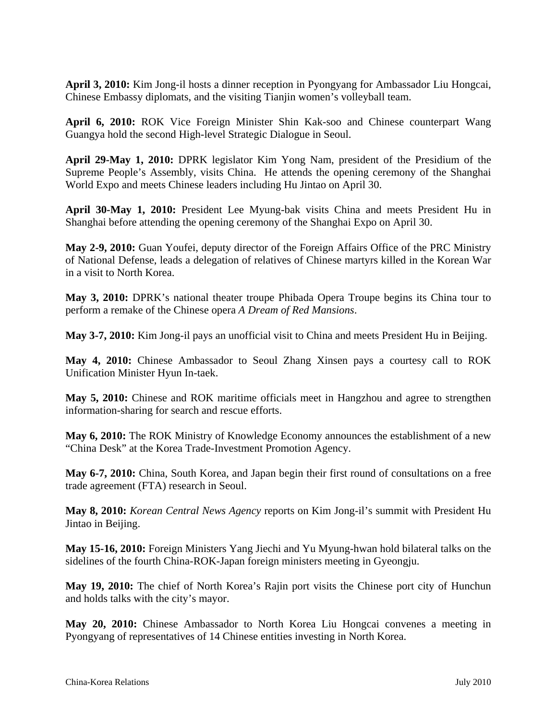**April 3, 2010:** Kim Jong-il hosts a dinner reception in Pyongyang for Ambassador Liu Hongcai, Chinese Embassy diplomats, and the visiting Tianjin women's volleyball team.

**April 6, 2010:** ROK Vice Foreign Minister Shin Kak-soo and Chinese counterpart Wang Guangya hold the second High-level Strategic Dialogue in Seoul.

**April 29-May 1, 2010:** DPRK legislator Kim Yong Nam, president of the Presidium of the Supreme People's Assembly, visits China. He attends the opening ceremony of the Shanghai World Expo and meets Chinese leaders including Hu Jintao on April 30.

**April 30-May 1, 2010:** President Lee Myung-bak visits China and meets President Hu in Shanghai before attending the opening ceremony of the Shanghai Expo on April 30.

**May 2-9, 2010:** Guan Youfei, deputy director of the Foreign Affairs Office of the PRC Ministry of National Defense, leads a delegation of relatives of Chinese martyrs killed in the Korean War in a visit to North Korea.

**May 3, 2010:** DPRK's national theater troupe Phibada Opera Troupe begins its China tour to perform a remake of the Chinese opera *A Dream of Red Mansions*.

**May 3-7, 2010:** Kim Jong-il pays an unofficial visit to China and meets President Hu in Beijing.

**May 4, 2010:** Chinese Ambassador to Seoul Zhang Xinsen pays a courtesy call to ROK Unification Minister Hyun In-taek.

**May 5, 2010:** Chinese and ROK maritime officials meet in Hangzhou and agree to strengthen information-sharing for search and rescue efforts.

**May 6, 2010:** The ROK Ministry of Knowledge Economy announces the establishment of a new "China Desk" at the Korea Trade-Investment Promotion Agency.

**May 6-7, 2010:** China, South Korea, and Japan begin their first round of consultations on a free trade agreement (FTA) research in Seoul.

**May 8, 2010:** *Korean Central News Agency* reports on Kim Jong-il's summit with President Hu Jintao in Beijing.

**May 15-16, 2010:** Foreign Ministers Yang Jiechi and Yu Myung-hwan hold bilateral talks on the sidelines of the fourth China-ROK-Japan foreign ministers meeting in Gyeongju.

**May 19, 2010:** The chief of North Korea's Rajin port visits the Chinese port city of Hunchun and holds talks with the city's mayor.

**May 20, 2010:** Chinese Ambassador to North Korea Liu Hongcai convenes a meeting in Pyongyang of representatives of 14 Chinese entities investing in North Korea.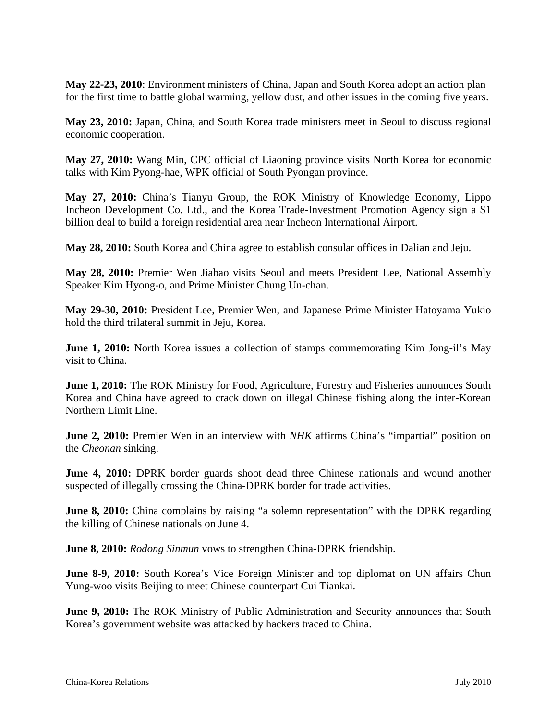**May 22-23, 2010**: Environment ministers of China, Japan and South Korea adopt an action plan for the first time to battle global warming, yellow dust, and other issues in the coming five years.

**May 23, 2010:** Japan, China, and South Korea trade ministers meet in Seoul to discuss regional economic cooperation.

**May 27, 2010:** Wang Min, CPC official of Liaoning province visits North Korea for economic talks with Kim Pyong-hae, WPK official of South Pyongan province.

**May 27, 2010:** China's Tianyu Group, the ROK Ministry of Knowledge Economy, Lippo Incheon Development Co. Ltd., and the Korea Trade-Investment Promotion Agency sign a \$1 billion deal to build a foreign residential area near Incheon International Airport.

**May 28, 2010:** South Korea and China agree to establish consular offices in Dalian and Jeju.

**May 28, 2010:** Premier Wen Jiabao visits Seoul and meets President Lee, National Assembly Speaker Kim Hyong-o, and Prime Minister Chung Un-chan.

**May 29-30, 2010:** President Lee, Premier Wen, and Japanese Prime Minister Hatoyama Yukio hold the third trilateral summit in Jeju, Korea.

**June 1, 2010:** North Korea issues a collection of stamps commemorating Kim Jong-il's May visit to China.

**June 1, 2010:** The ROK Ministry for Food, Agriculture, Forestry and Fisheries announces South Korea and China have agreed to crack down on illegal Chinese fishing along the inter-Korean Northern Limit Line.

**June 2, 2010:** Premier Wen in an interview with *NHK* affirms China's "impartial" position on the *Cheonan* sinking.

**June 4, 2010:** DPRK border guards shoot dead three Chinese nationals and wound another suspected of illegally crossing the China-DPRK border for trade activities.

**June 8, 2010:** China complains by raising "a solemn representation" with the DPRK regarding the killing of Chinese nationals on June 4.

**June 8, 2010:** *Rodong Sinmun* vows to strengthen China-DPRK friendship.

**June 8-9, 2010:** South Korea's Vice Foreign Minister and top diplomat on UN affairs Chun Yung-woo visits Beijing to meet Chinese counterpart Cui Tiankai.

**June 9, 2010:** The ROK Ministry of Public Administration and Security announces that South Korea's government website was attacked by hackers traced to China.